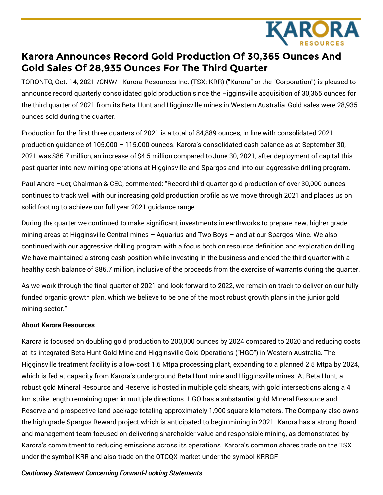

## **Karora Announces Record Gold Production Of 30,365 Ounces And Gold Sales Of 28,935 Ounces For The Third Quarter**

TORONTO, Oct. 14, 2021 /CNW/ - Karora Resources Inc. (TSX: KRR) ("Karora" or the "Corporation") is pleased to announce record quarterly consolidated gold production since the Higginsville acquisition of 30,365 ounces for the third quarter of 2021 from its Beta Hunt and Higginsville mines in Western Australia. Gold sales were 28,935 ounces sold during the quarter.

Production for the first three quarters of 2021 is a total of 84,889 ounces, in line with consolidated 2021 production guidance of 105,000 – 115,000 ounces. Karora's consolidated cash balance as at September 30, 2021 was \$86.7 million, an increase of \$4.5 million compared toJune 30, 2021, after deployment of capital this past quarter into new mining operations at Higginsville and Spargos and into our aggressive drilling program.

Paul Andre Huet, Chairman & CEO, commented: "Record third quarter gold production of over 30,000 ounces continues to track well with our increasing gold production profile as we move through 2021 and places us on solid footing to achieve our full year 2021 guidance range.

During the quarter we continued to make significant investments in earthworks to prepare new, higher grade mining areas at Higginsville Central mines – Aquarius and Two Boys – and at our Spargos Mine. We also continued with our aggressive drilling program with a focus both on resource definition and exploration drilling. We have maintained a strong cash position while investing in the business and ended the third quarter with a healthy cash balance of \$86.7 million, inclusive of the proceeds from the exercise of warrants during the quarter.

As we work through the final quarter of 2021 and look forward to 2022, we remain on track to deliver on our fully funded organic growth plan, which we believe to be one of the most robust growth plans in the junior gold mining sector."

## **About Karora Resources**

Karora is focused on doubling gold production to 200,000 ounces by 2024 compared to 2020 and reducing costs at its integrated Beta Hunt Gold Mine and Higginsville Gold Operations ("HGO") in Western Australia. The Higginsville treatment facility is a low-cost 1.6 Mtpa processing plant, expanding to a planned 2.5 Mtpa by 2024, which is fed at capacity from Karora's underground Beta Hunt mine and Higginsville mines. At Beta Hunt, a robust gold Mineral Resource and Reserve is hosted in multiple gold shears, with gold intersections along a 4 km strike length remaining open in multiple directions. HGO has a substantial gold Mineral Resource and Reserve and prospective land package totaling approximately 1,900 square kilometers. The Company also owns the high grade Spargos Reward project which is anticipated to begin mining in 2021. Karora has a strong Board and management team focused on delivering shareholder value and responsible mining, as demonstrated by Karora's commitment to reducing emissions across its operations. Karora's common shares trade on the TSX under the symbol KRR and also trade on the OTCQX market under the symbol KRRGF

## *Cautionary Statement Concerning Forward-Looking Statements*